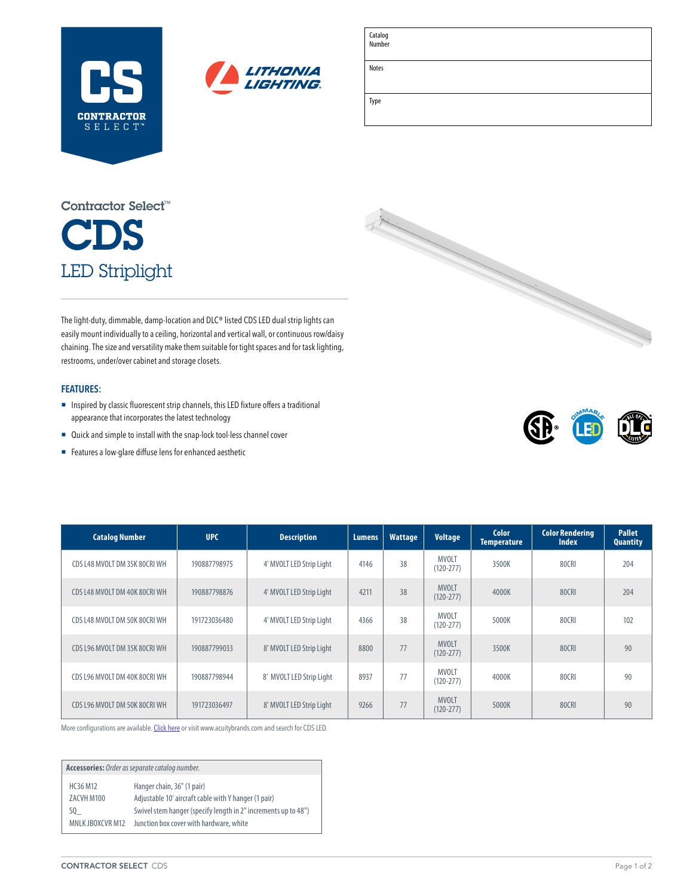



| Catalog<br>Number |  |  |
|-------------------|--|--|
| Notes             |  |  |
| Type              |  |  |

# CDS LED Striplight Contractor Select™

The light-duty, dimmable, damp-location and DLC® listed CDS LED dual strip lights can easily mount individually to a ceiling, horizontal and vertical wall, or continuous row/daisy chaining. The size and versatility make them suitable for tight spaces and for task lighting, restrooms, under/over cabinet and storage closets.

### **FEATURES:**

- ¡ Inspired by classic fluorescent strip channels, this LED fixture offers a traditional appearance that incorporates the latest technology
- Quick and simple to install with the snap-lock tool-less channel cover
- Features a low-glare diffuse lens for enhanced aesthetic





| <b>Catalog Number</b>         | <b>UPC</b>   | <b>Description</b>       | Lumens. | <b>Wattage</b> | <b>Voltage</b>                | Color<br><b>Temperature</b> | <b>Color Rendering</b><br><b>Index</b> | <b>Pallet</b><br><b>Quantity</b> |
|-------------------------------|--------------|--------------------------|---------|----------------|-------------------------------|-----------------------------|----------------------------------------|----------------------------------|
| CDS L48 MVOLT DM 35K 80CRI WH | 190887798975 | 4' MVOLT LED Strip Light | 4146    | 38             | <b>MVOLT</b><br>$(120 - 277)$ | 3500K                       | 80CRI                                  | 204                              |
| CDS L48 MVOLT DM 40K 80CRI WH | 190887798876 | 4' MVOLT LED Strip Light | 4211    | 38             | <b>MVOLT</b><br>$(120 - 277)$ | 4000K                       | 80CRI                                  | 204                              |
| CDS L48 MVOLT DM 50K 80CRI WH | 191723036480 | 4' MVOLT LED Strip Light | 4366    | 38             | <b>MVOLT</b><br>$(120 - 277)$ | 5000K                       | 80CRI                                  | 102                              |
| CDS L96 MVOLT DM 35K 80CRI WH | 190887799033 | 8' MVOLT LED Strip Light | 8800    | 77             | <b>MVOLT</b><br>$(120 - 277)$ | 3500K                       | 80CRI                                  | 90                               |
| CDS L96 MVOLT DM 40K 80CRI WH | 190887798944 | 8' MVOLT LED Strip Light | 8937    | 77             | <b>MVOLT</b><br>$(120 - 277)$ | 4000K                       | 80CRI                                  | 90                               |
| CDS L96 MVOLT DM 50K 80CRI WH | 191723036497 | 8' MVOLT LED Strip Light | 9266    | 77             | <b>MVOLT</b><br>$(120 - 277)$ | 5000K                       | 80CRI                                  | 90                               |

More configurations are available. [Click here](https://www.acuitybrands.com/products/detail/675925/Lithonia-Lighting/CDS-LED-Strip-Light/Contractor-LED-Dual-Strip-Light) or visit [www.acuitybrands.com](http://www.acuitybrands.com) and search for CDS LED.

**Accessories:** *Order as separate catalog number.* HC36 M12 Hanger chain, 36" (1 pair) ZACVH M100 Adjustable 10' aircraft cable with Y hanger (1 pair) SQ\_ Swivel stem hanger (specify length in 2" increments up to 48") MNLK JBOXCVR M12 Junction box cover with hardware, white